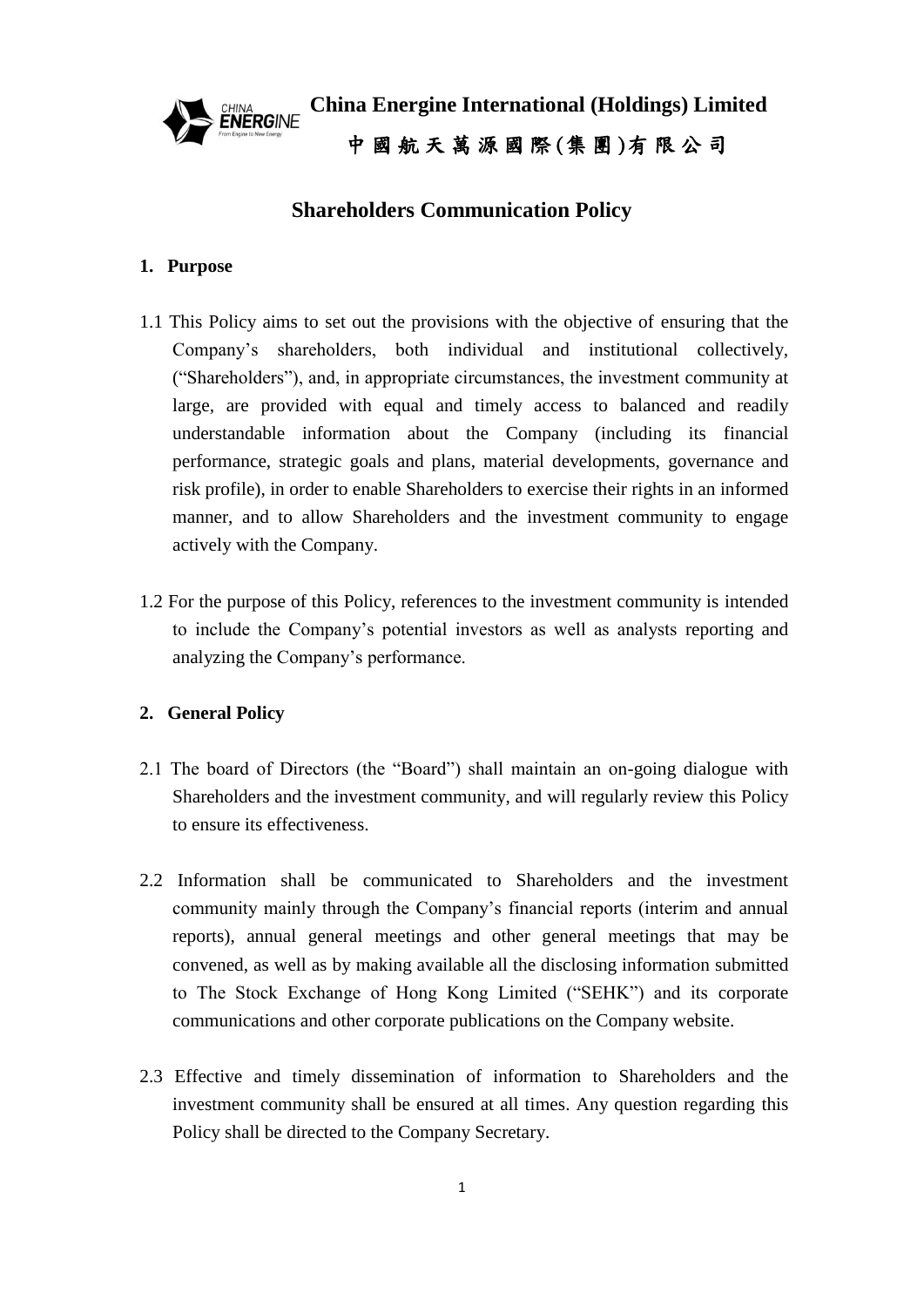

**China Energine International (Holdings) Limited** 中 國 航 天 萬 源 國 際 (集 團 )有 限 公 司

# **Shareholders Communication Policy**

# **1. Purpose**

- 1.1 This Policy aims to set out the provisions with the objective of ensuring that the Company's shareholders, both individual and institutional collectively, ("Shareholders"), and, in appropriate circumstances, the investment community at large, are provided with equal and timely access to balanced and readily understandable information about the Company (including its financial performance, strategic goals and plans, material developments, governance and risk profile), in order to enable Shareholders to exercise their rights in an informed manner, and to allow Shareholders and the investment community to engage actively with the Company.
- 1.2 For the purpose of this Policy, references to the investment community is intended to include the Company's potential investors as well as analysts reporting and analyzing the Company's performance.

# **2. General Policy**

- 2.1 The board of Directors (the "Board") shall maintain an on-going dialogue with Shareholders and the investment community, and will regularly review this Policy to ensure its effectiveness.
- 2.2 Information shall be communicated to Shareholders and the investment community mainly through the Company's financial reports (interim and annual reports), annual general meetings and other general meetings that may be convened, as well as by making available all the disclosing information submitted to The Stock Exchange of Hong Kong Limited ("SEHK") and its corporate communications and other corporate publications on the Company website.
- 2.3 Effective and timely dissemination of information to Shareholders and the investment community shall be ensured at all times. Any question regarding this Policy shall be directed to the Company Secretary.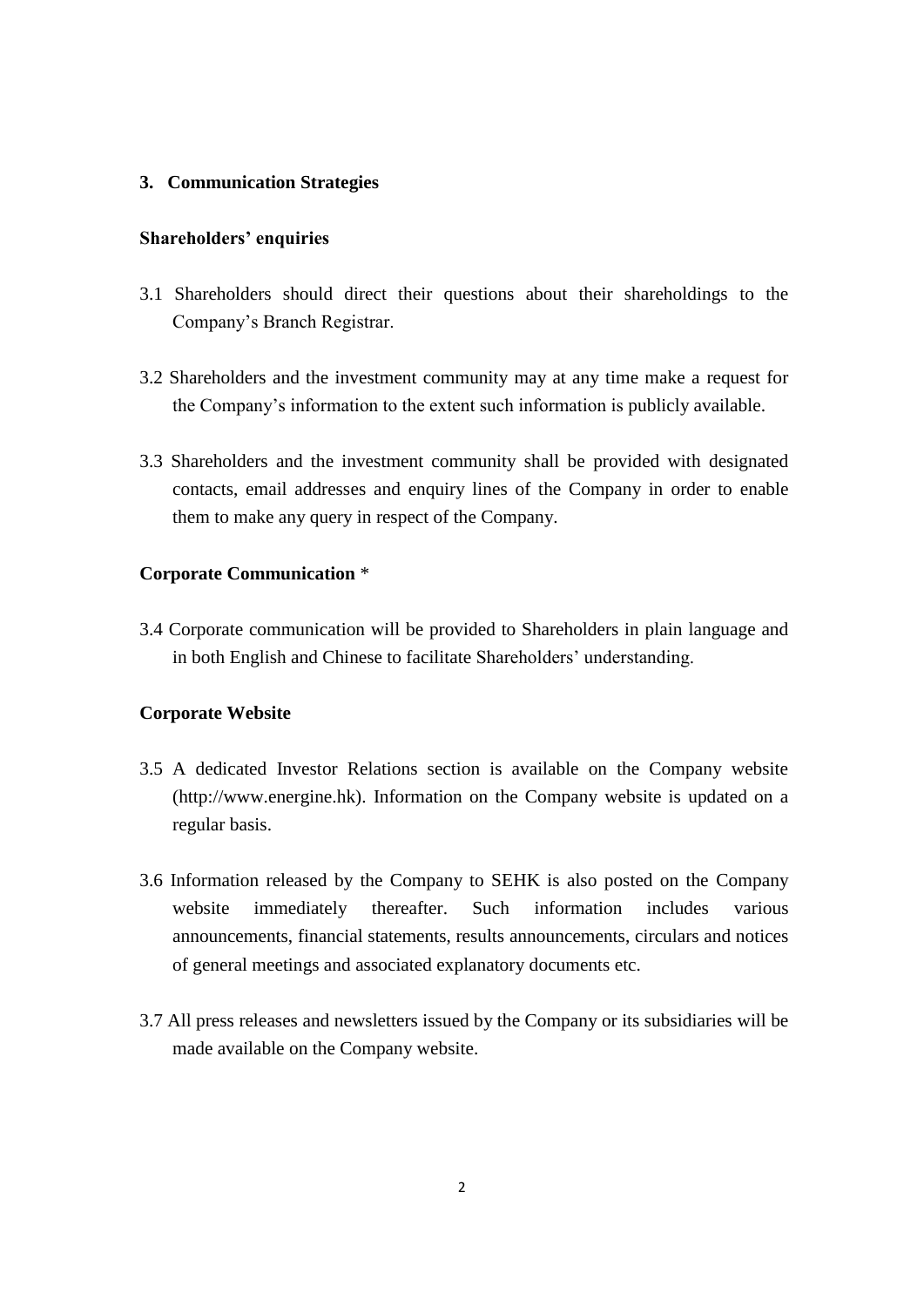# **3. Communication Strategies**

### **Shareholders' enquiries**

- 3.1 Shareholders should direct their questions about their shareholdings to the Company's Branch Registrar.
- 3.2 Shareholders and the investment community may at any time make a request for the Company's information to the extent such information is publicly available.
- 3.3 Shareholders and the investment community shall be provided with designated contacts, email addresses and enquiry lines of the Company in order to enable them to make any query in respect of the Company.

# **Corporate Communication** \*

3.4 Corporate communication will be provided to Shareholders in plain language and in both English and Chinese to facilitate Shareholders' understanding.

#### **Corporate Website**

- 3.5 A dedicated Investor Relations section is available on the Company website (http://www.energine.hk). Information on the Company website is updated on a regular basis.
- 3.6 Information released by the Company to SEHK is also posted on the Company website immediately thereafter. Such information includes various announcements, financial statements, results announcements, circulars and notices of general meetings and associated explanatory documents etc.
- 3.7 All press releases and newsletters issued by the Company or its subsidiaries will be made available on the Company website.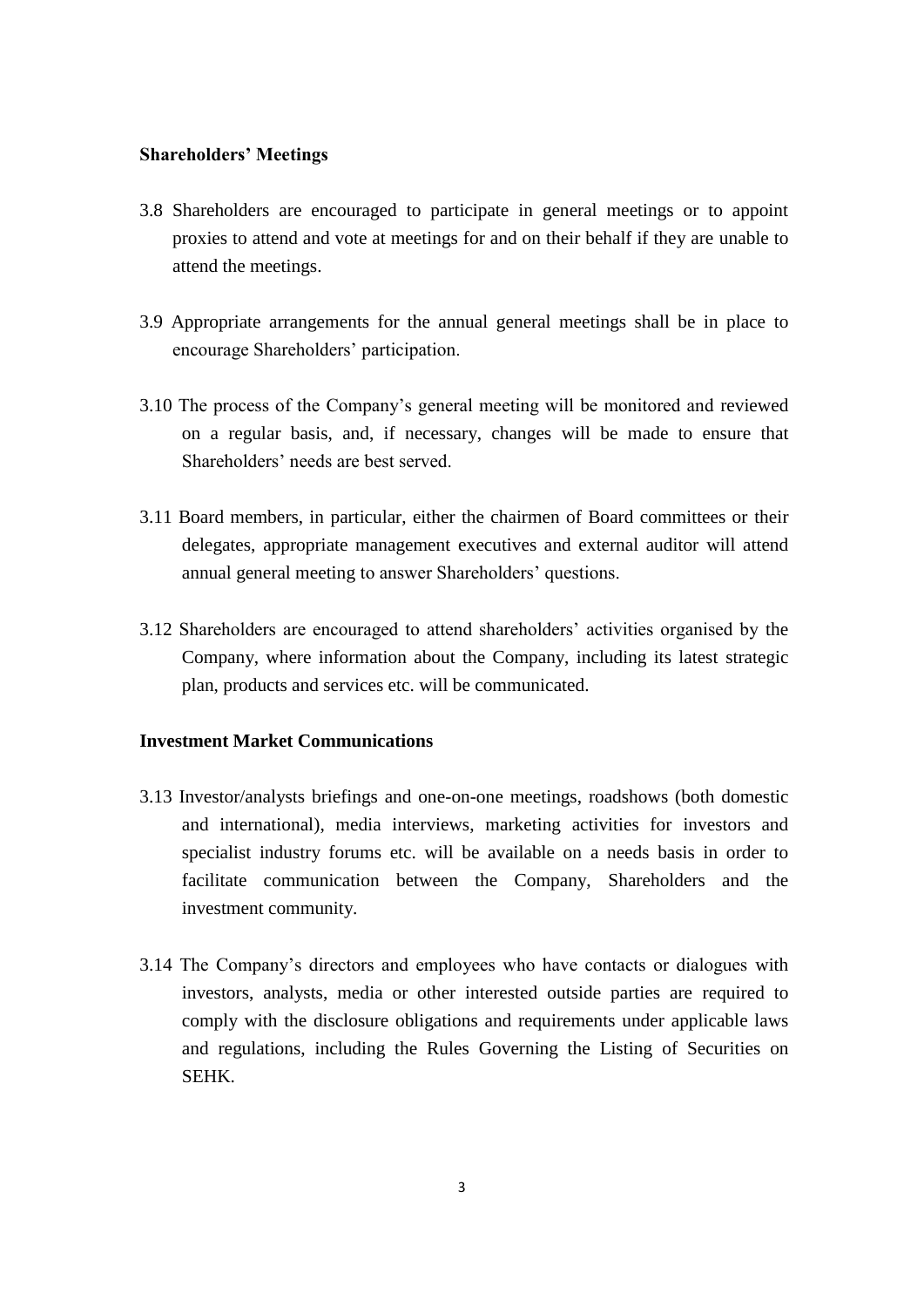### **Shareholders' Meetings**

- 3.8 Shareholders are encouraged to participate in general meetings or to appoint proxies to attend and vote at meetings for and on their behalf if they are unable to attend the meetings.
- 3.9 Appropriate arrangements for the annual general meetings shall be in place to encourage Shareholders' participation.
- 3.10 The process of the Company's general meeting will be monitored and reviewed on a regular basis, and, if necessary, changes will be made to ensure that Shareholders' needs are best served.
- 3.11 Board members, in particular, either the chairmen of Board committees or their delegates, appropriate management executives and external auditor will attend annual general meeting to answer Shareholders' questions.
- 3.12 Shareholders are encouraged to attend shareholders' activities organised by the Company, where information about the Company, including its latest strategic plan, products and services etc. will be communicated.

# **Investment Market Communications**

- 3.13 Investor/analysts briefings and one-on-one meetings, roadshows (both domestic and international), media interviews, marketing activities for investors and specialist industry forums etc. will be available on a needs basis in order to facilitate communication between the Company, Shareholders and the investment community.
- 3.14 The Company's directors and employees who have contacts or dialogues with investors, analysts, media or other interested outside parties are required to comply with the disclosure obligations and requirements under applicable laws and regulations, including the Rules Governing the Listing of Securities on SEHK.